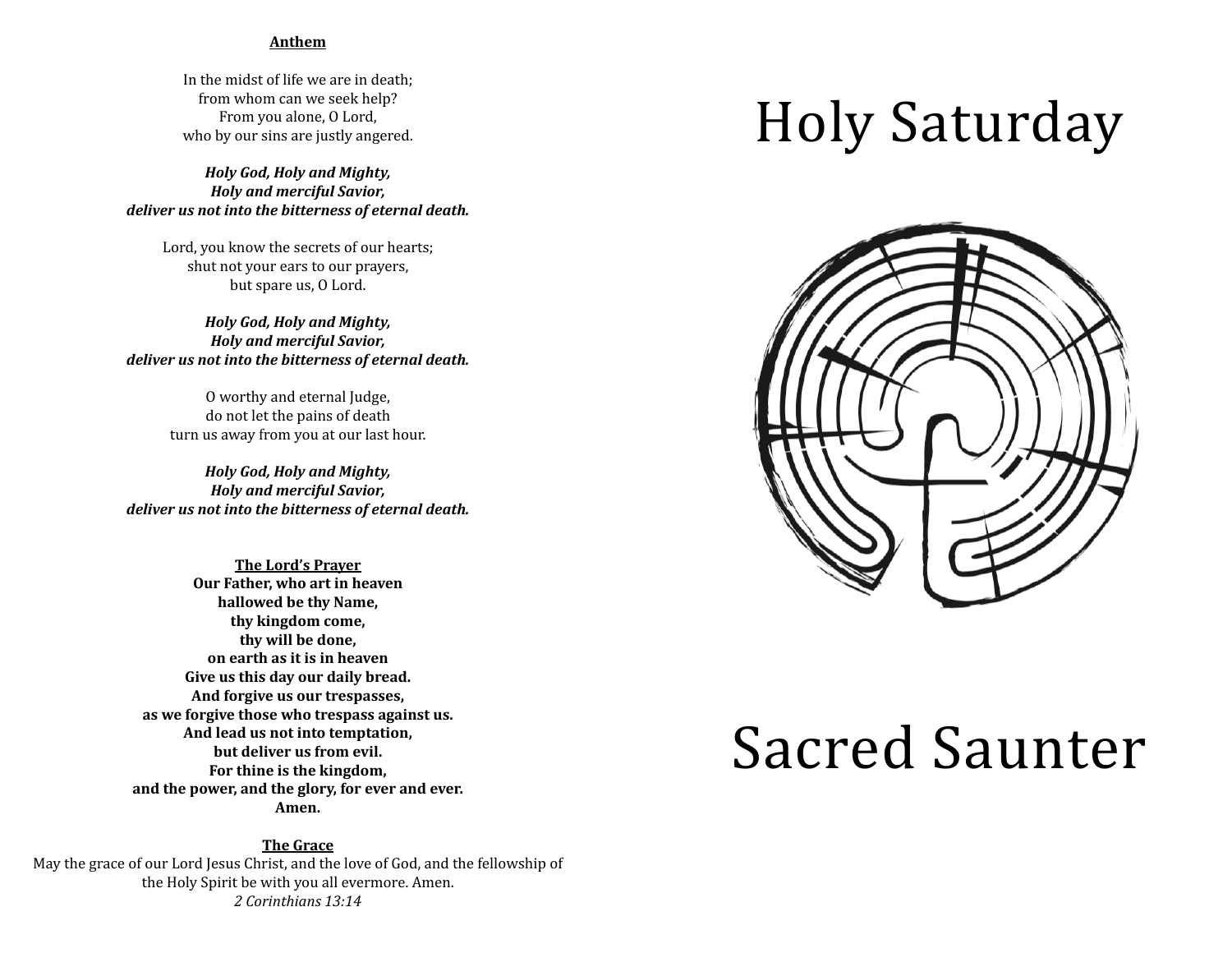#### **Anthem**

In the midst of life we are in death: from whom can we seek help? From you alone, O Lord, who by our sins are justly angered.

*Holy God, Holy and Mighty, Holy and merciful Savior,* deliver us not into the bitterness of eternal death.

Lord, you know the secrets of our hearts; shut not your ears to our prayers, but spare us, O Lord.

*Holy God, Holy and Mighty, Holy and merciful Savior,* deliver us not into the bitterness of eternal death.

> O worthy and eternal Judge, do not let the pains of death turn us away from you at our last hour.

*Holy God, Holy and Mighty, Holy and merciful Savior,* deliver us not into the bitterness of eternal death.

**The Lord's Prayer Our Father, who art in heaven hallowed be thy Name, thy kingdom come, thy will be done, on earth as it is in heaven** Give us this day our daily bread. And forgive us our trespasses, as we forgive those who trespass against us. And lead us not into temptation, **but deliver us from evil.** For thine is the kingdom, and the power, and the glory, for ever and ever. **Amen.**

**The Grace** May the grace of our Lord Jesus Christ, and the love of God, and the fellowship of the Holy Spirit be with you all evermore. Amen. *2 Corinthians 13:14*

## Holy Saturday



# Sacred Saunter